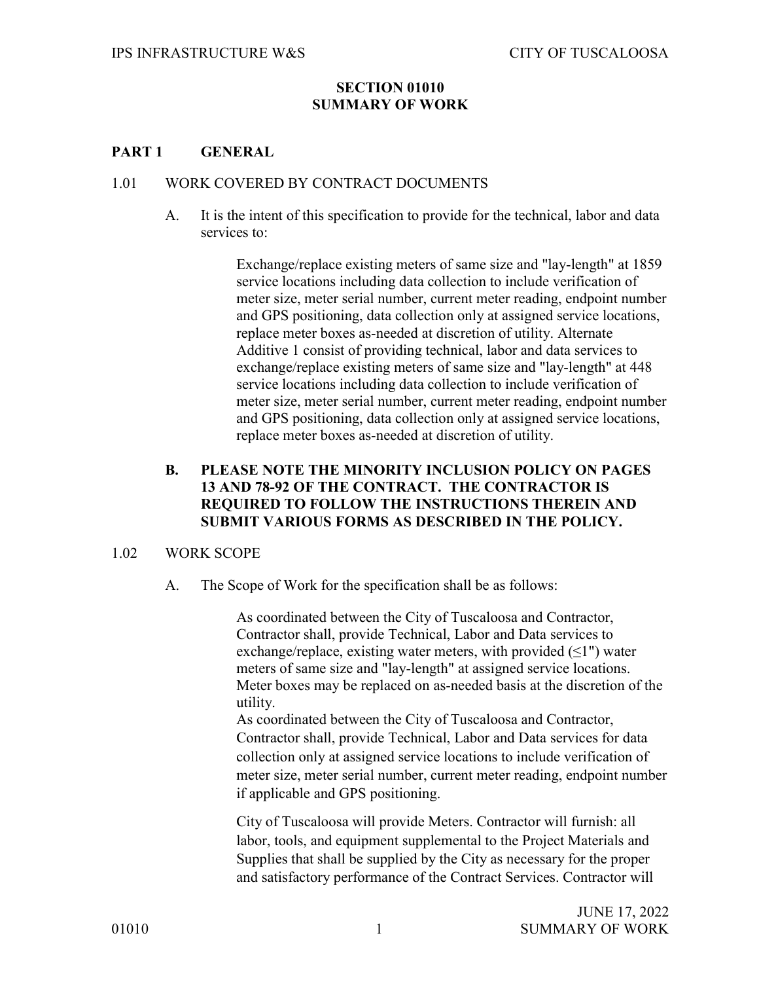## SECTION 01010 SUMMARY OF WORK

# PART 1 GENERAL

### 1.01 WORK COVERED BY CONTRACT DOCUMENTS

A. It is the intent of this specification to provide for the technical, labor and data services to:

> Exchange/replace existing meters of same size and "lay-length" at 1859 service locations including data collection to include verification of meter size, meter serial number, current meter reading, endpoint number and GPS positioning, data collection only at assigned service locations, replace meter boxes as-needed at discretion of utility. Alternate Additive 1 consist of providing technical, labor and data services to exchange/replace existing meters of same size and "lay-length" at 448 service locations including data collection to include verification of meter size, meter serial number, current meter reading, endpoint number and GPS positioning, data collection only at assigned service locations, replace meter boxes as-needed at discretion of utility.

# B. PLEASE NOTE THE MINORITY INCLUSION POLICY ON PAGES 13 AND 78-92 OF THE CONTRACT. THE CONTRACTOR IS REQUIRED TO FOLLOW THE INSTRUCTIONS THEREIN AND SUBMIT VARIOUS FORMS AS DESCRIBED IN THE POLICY.

## 1.02 WORK SCOPE

A. The Scope of Work for the specification shall be as follows:

As coordinated between the City of Tuscaloosa and Contractor, Contractor shall, provide Technical, Labor and Data services to exchange/replace, existing water meters, with provided  $(\leq 1)$ " water meters of same size and "lay-length" at assigned service locations. Meter boxes may be replaced on as-needed basis at the discretion of the utility.

As coordinated between the City of Tuscaloosa and Contractor, Contractor shall, provide Technical, Labor and Data services for data collection only at assigned service locations to include verification of meter size, meter serial number, current meter reading, endpoint number if applicable and GPS positioning.

City of Tuscaloosa will provide Meters. Contractor will furnish: all labor, tools, and equipment supplemental to the Project Materials and Supplies that shall be supplied by the City as necessary for the proper and satisfactory performance of the Contract Services. Contractor will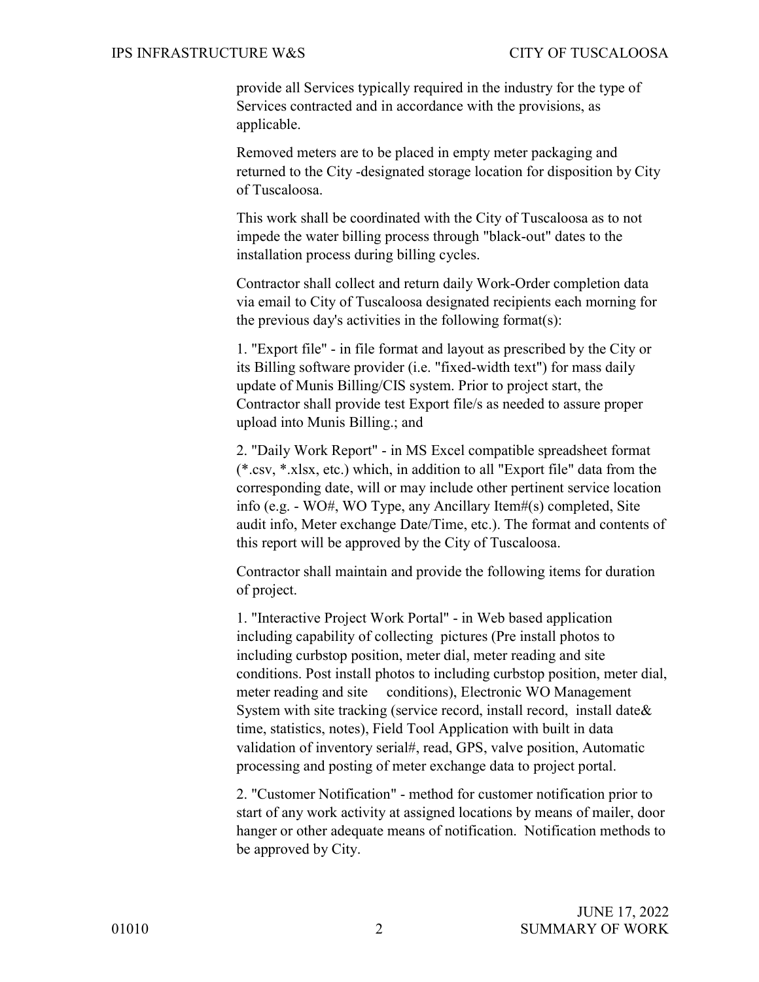provide all Services typically required in the industry for the type of Services contracted and in accordance with the provisions, as applicable.

Removed meters are to be placed in empty meter packaging and returned to the City -designated storage location for disposition by City of Tuscaloosa.

This work shall be coordinated with the City of Tuscaloosa as to not impede the water billing process through "black-out" dates to the installation process during billing cycles.

Contractor shall collect and return daily Work-Order completion data via email to City of Tuscaloosa designated recipients each morning for the previous day's activities in the following format(s):

1. "Export file" - in file format and layout as prescribed by the City or its Billing software provider (i.e. "fixed-width text") for mass daily update of Munis Billing/CIS system. Prior to project start, the Contractor shall provide test Export file/s as needed to assure proper upload into Munis Billing.; and

2. "Daily Work Report" - in MS Excel compatible spreadsheet format (\*.csv, \*.xlsx, etc.) which, in addition to all "Export file" data from the corresponding date, will or may include other pertinent service location info (e.g. - WO#, WO Type, any Ancillary Item#(s) completed, Site audit info, Meter exchange Date/Time, etc.). The format and contents of this report will be approved by the City of Tuscaloosa.

Contractor shall maintain and provide the following items for duration of project.

1. "Interactive Project Work Portal" - in Web based application including capability of collecting pictures (Pre install photos to including curbstop position, meter dial, meter reading and site conditions. Post install photos to including curbstop position, meter dial, meter reading and site conditions), Electronic WO Management System with site tracking (service record, install record, install date& time, statistics, notes), Field Tool Application with built in data validation of inventory serial#, read, GPS, valve position, Automatic processing and posting of meter exchange data to project portal.

2. "Customer Notification" - method for customer notification prior to start of any work activity at assigned locations by means of mailer, door hanger or other adequate means of notification. Notification methods to be approved by City.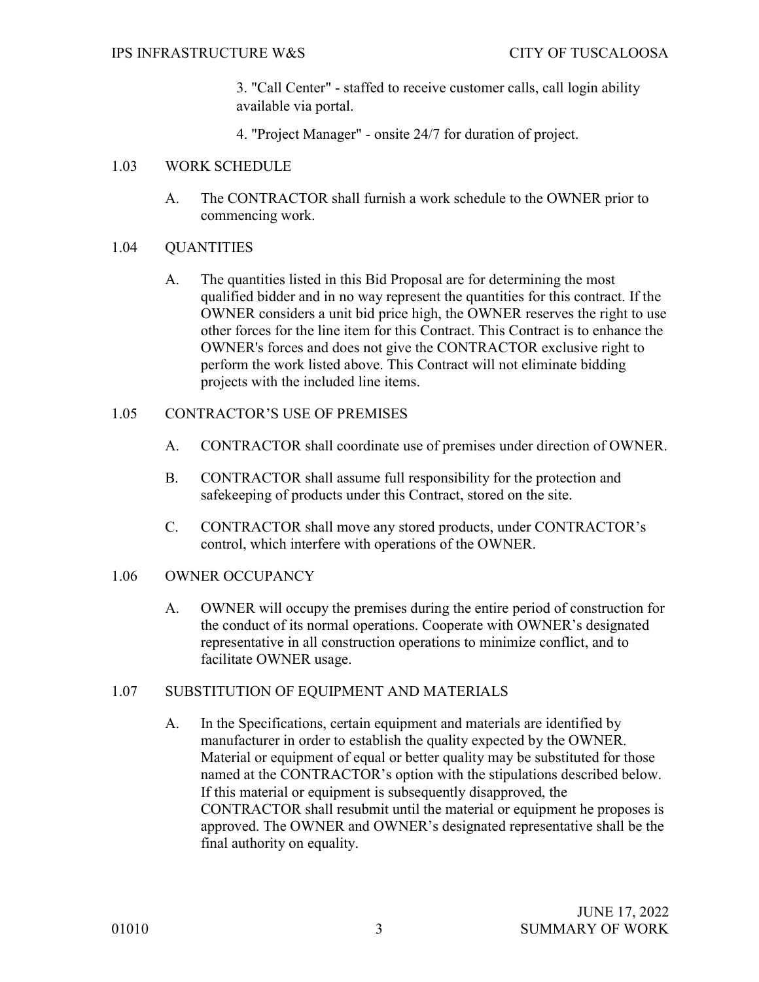3. "Call Center" - staffed to receive customer calls, call login ability available via portal.

4. "Project Manager" - onsite 24/7 for duration of project.

## 1.03 WORK SCHEDULE

A. The CONTRACTOR shall furnish a work schedule to the OWNER prior to commencing work.

## 1.04 QUANTITIES

A. The quantities listed in this Bid Proposal are for determining the most qualified bidder and in no way represent the quantities for this contract. If the OWNER considers a unit bid price high, the OWNER reserves the right to use other forces for the line item for this Contract. This Contract is to enhance the OWNER's forces and does not give the CONTRACTOR exclusive right to perform the work listed above. This Contract will not eliminate bidding projects with the included line items.

## 1.05 CONTRACTOR'S USE OF PREMISES

- A. CONTRACTOR shall coordinate use of premises under direction of OWNER.
- B. CONTRACTOR shall assume full responsibility for the protection and safekeeping of products under this Contract, stored on the site.
- C. CONTRACTOR shall move any stored products, under CONTRACTOR's control, which interfere with operations of the OWNER.

## 1.06 OWNER OCCUPANCY

A. OWNER will occupy the premises during the entire period of construction for the conduct of its normal operations. Cooperate with OWNER's designated representative in all construction operations to minimize conflict, and to facilitate OWNER usage.

## 1.07 SUBSTITUTION OF EQUIPMENT AND MATERIALS

A. In the Specifications, certain equipment and materials are identified by manufacturer in order to establish the quality expected by the OWNER. Material or equipment of equal or better quality may be substituted for those named at the CONTRACTOR's option with the stipulations described below. If this material or equipment is subsequently disapproved, the CONTRACTOR shall resubmit until the material or equipment he proposes is approved. The OWNER and OWNER's designated representative shall be the final authority on equality.